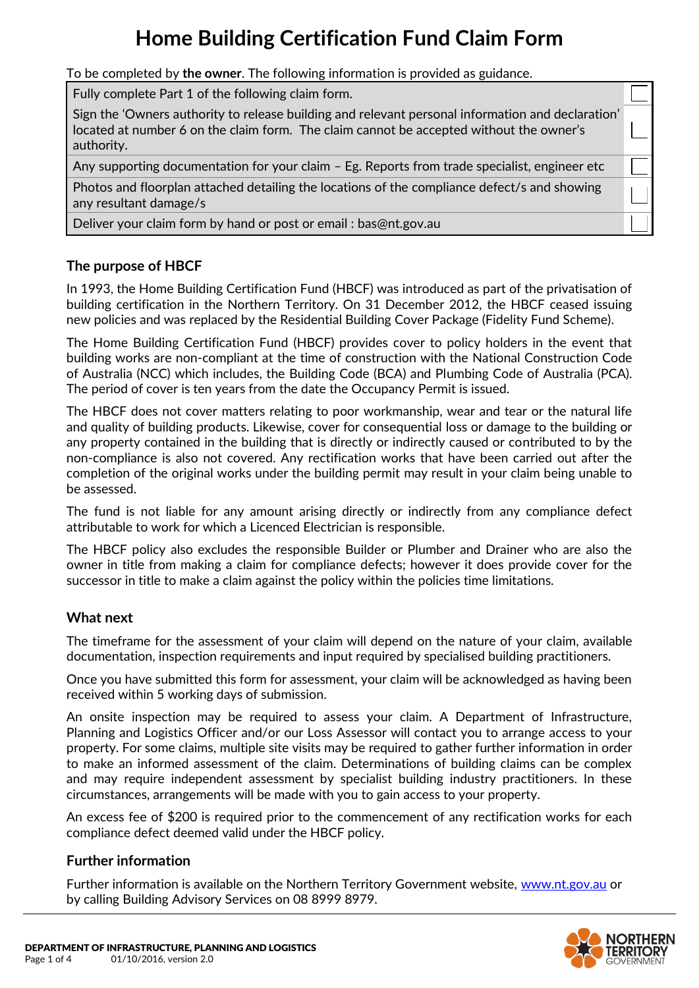## **Home Building Certification Fund Claim Form**

To be completed by **the owner**. The following information is provided as guidance.

Fully complete Part 1 of the following claim form.

Sign the 'Owners authority to release building and relevant personal information and declaration' located at number 6 on the claim form. The claim cannot be accepted without the owner's authority.

Any supporting documentation for your claim – Eg. Reports from trade specialist, engineer etc

Photos and floorplan attached detailing the locations of the compliance defect/s and showing any resultant damage/s

Deliver your claim form by hand or post or email : [bas@nt.gov.au](mailto:BAS.LPE@nt.gov.au)

## **The purpose of HBCF**

In 1993, the Home Building Certification Fund (HBCF) was introduced as part of the privatisation of building certification in the Northern Territory. On 31 December 2012, the HBCF ceased issuing new policies and was replaced by the Residential Building Cover Package (Fidelity Fund Scheme).

The Home Building Certification Fund (HBCF) provides cover to policy holders in the event that building works are non-compliant at the time of construction with the National Construction Code of Australia (NCC) which includes, the Building Code (BCA) and Plumbing Code of Australia (PCA). The period of cover is ten years from the date the Occupancy Permit is issued.

The HBCF does not cover matters relating to poor workmanship, wear and tear or the natural life and quality of building products. Likewise, cover for consequential loss or damage to the building or any property contained in the building that is directly or indirectly caused or contributed to by the non-compliance is also not covered. Any rectification works that have been carried out after the completion of the original works under the building permit may result in your claim being unable to be assessed.

The fund is not liable for any amount arising directly or indirectly from any compliance defect attributable to work for which a Licenced Electrician is responsible.

The HBCF policy also excludes the responsible Builder or Plumber and Drainer who are also the owner in title from making a claim for compliance defects; however it does provide cover for the successor in title to make a claim against the policy within the policies time limitations.

## **What next**

The timeframe for the assessment of your claim will depend on the nature of your claim, available documentation, inspection requirements and input required by specialised building practitioners.

Once you have submitted this form for assessment, your claim will be acknowledged as having been received within 5 working days of submission.

An onsite inspection may be required to assess your claim. A Department of Infrastructure, Planning and Logistics Officer and/or our Loss Assessor will contact you to arrange access to your property. For some claims, multiple site visits may be required to gather further information in order to make an informed assessment of the claim. Determinations of building claims can be complex and may require independent assessment by specialist building industry practitioners. In these circumstances, arrangements will be made with you to gain access to your property.

An excess fee of \$200 is required prior to the commencement of any rectification works for each compliance defect deemed valid under the HBCF policy.

## **Further information**

Further information is available on the Northern Territory Government website, [www.nt.gov.au](http://www.nt.gov.au/) or by calling Building Advisory Services on 08 8999 8979.

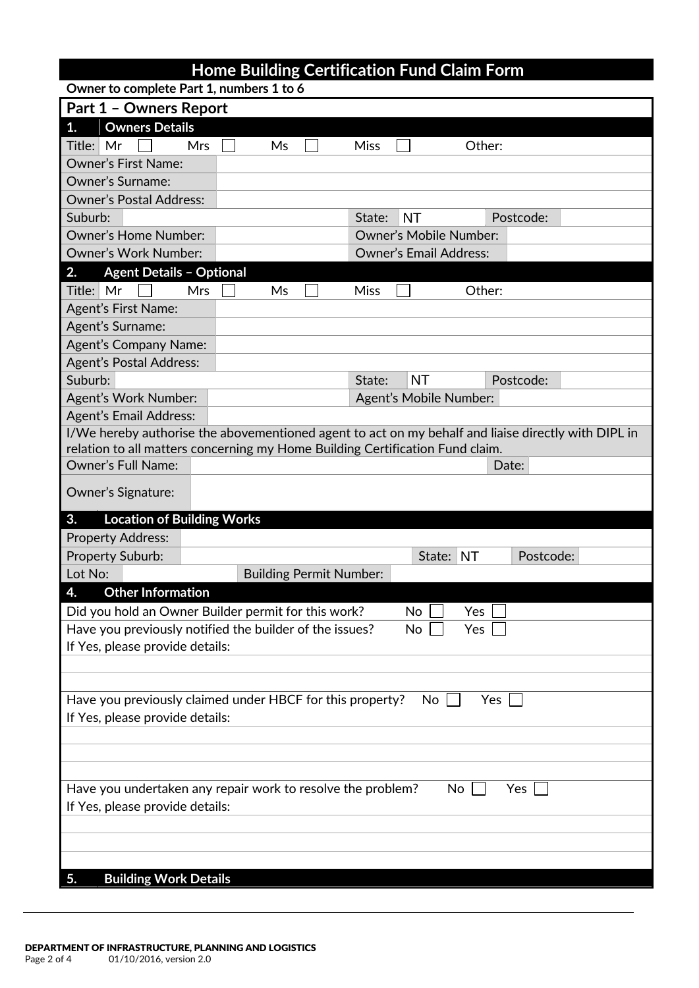| <b>Part 1 - Owners Report</b>                                            |                                                                               |                               |                                                                                                     |  |  |  |  |
|--------------------------------------------------------------------------|-------------------------------------------------------------------------------|-------------------------------|-----------------------------------------------------------------------------------------------------|--|--|--|--|
| <b>Owners Details</b><br>1.                                              |                                                                               |                               |                                                                                                     |  |  |  |  |
| Mr<br>Mrs<br>Title:                                                      | Ms                                                                            | <b>Miss</b><br>Other:         |                                                                                                     |  |  |  |  |
| <b>Owner's First Name:</b>                                               |                                                                               |                               |                                                                                                     |  |  |  |  |
| <b>Owner's Surname:</b>                                                  |                                                                               |                               |                                                                                                     |  |  |  |  |
| <b>Owner's Postal Address:</b>                                           |                                                                               |                               |                                                                                                     |  |  |  |  |
| Suburb:                                                                  |                                                                               | <b>NT</b><br>State:           | Postcode:                                                                                           |  |  |  |  |
| <b>Owner's Home Number:</b>                                              |                                                                               | <b>Owner's Mobile Number:</b> |                                                                                                     |  |  |  |  |
| <b>Owner's Work Number:</b>                                              |                                                                               | <b>Owner's Email Address:</b> |                                                                                                     |  |  |  |  |
| <b>Agent Details - Optional</b><br>2.                                    |                                                                               |                               |                                                                                                     |  |  |  |  |
| Title: Mr<br>Mrs                                                         | Ms                                                                            | Other:<br><b>Miss</b>         |                                                                                                     |  |  |  |  |
| <b>Agent's First Name:</b>                                               |                                                                               |                               |                                                                                                     |  |  |  |  |
| Agent's Surname:                                                         |                                                                               |                               |                                                                                                     |  |  |  |  |
| <b>Agent's Company Name:</b>                                             |                                                                               |                               |                                                                                                     |  |  |  |  |
| <b>Agent's Postal Address:</b>                                           |                                                                               |                               |                                                                                                     |  |  |  |  |
| Suburb:                                                                  |                                                                               | <b>NT</b><br>State:           | Postcode:                                                                                           |  |  |  |  |
| Agent's Work Number:                                                     |                                                                               | Agent's Mobile Number:        |                                                                                                     |  |  |  |  |
| <b>Agent's Email Address:</b>                                            |                                                                               |                               |                                                                                                     |  |  |  |  |
|                                                                          |                                                                               |                               | I/We hereby authorise the abovementioned agent to act on my behalf and liaise directly with DIPL in |  |  |  |  |
|                                                                          | relation to all matters concerning my Home Building Certification Fund claim. |                               |                                                                                                     |  |  |  |  |
| <b>Owner's Full Name:</b>                                                |                                                                               |                               | Date:                                                                                               |  |  |  |  |
| Owner's Signature:                                                       |                                                                               |                               |                                                                                                     |  |  |  |  |
| <b>Location of Building Works</b><br>3.                                  |                                                                               |                               |                                                                                                     |  |  |  |  |
| <b>Property Address:</b>                                                 |                                                                               |                               |                                                                                                     |  |  |  |  |
| Property Suburb:                                                         |                                                                               | State: NT                     | Postcode:                                                                                           |  |  |  |  |
| Lot No:                                                                  | <b>Building Permit Number:</b>                                                |                               |                                                                                                     |  |  |  |  |
| <b>Other Information</b><br>4.                                           |                                                                               |                               |                                                                                                     |  |  |  |  |
|                                                                          | Did you hold an Owner Builder permit for this work?                           | No<br>Yes                     |                                                                                                     |  |  |  |  |
|                                                                          | Have you previously notified the builder of the issues?                       | No<br>Yes                     |                                                                                                     |  |  |  |  |
| If Yes, please provide details:                                          |                                                                               |                               |                                                                                                     |  |  |  |  |
|                                                                          |                                                                               |                               |                                                                                                     |  |  |  |  |
|                                                                          |                                                                               |                               |                                                                                                     |  |  |  |  |
|                                                                          | Have you previously claimed under HBCF for this property?                     | No                            | Yes                                                                                                 |  |  |  |  |
| If Yes, please provide details:                                          |                                                                               |                               |                                                                                                     |  |  |  |  |
|                                                                          |                                                                               |                               |                                                                                                     |  |  |  |  |
|                                                                          |                                                                               |                               |                                                                                                     |  |  |  |  |
|                                                                          |                                                                               |                               |                                                                                                     |  |  |  |  |
| Have you undertaken any repair work to resolve the problem?<br>No<br>Yes |                                                                               |                               |                                                                                                     |  |  |  |  |
| If Yes, please provide details:                                          |                                                                               |                               |                                                                                                     |  |  |  |  |
|                                                                          |                                                                               |                               |                                                                                                     |  |  |  |  |
|                                                                          |                                                                               |                               |                                                                                                     |  |  |  |  |
|                                                                          |                                                                               |                               |                                                                                                     |  |  |  |  |
| <b>Building Work Details</b><br>5.                                       |                                                                               |                               |                                                                                                     |  |  |  |  |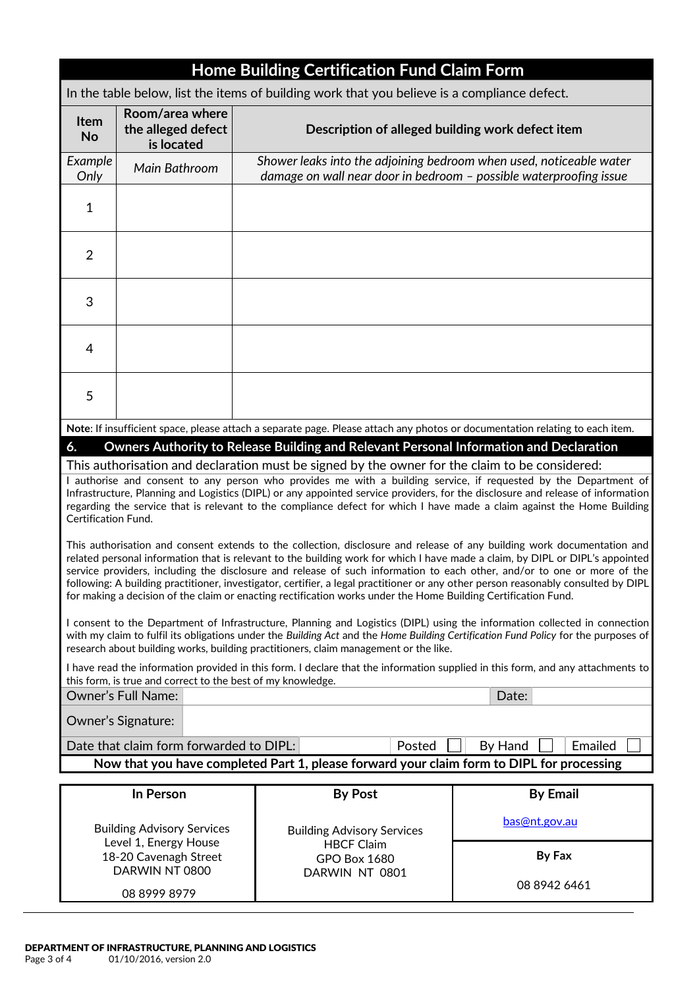|                                                                                                                                                                                                                                                                                                                                                                                                                                                                                                                                                                                                                                             | <b>Home Building Certification Fund Claim Form</b>  |                                                                                                                              |                                                                                                                                           |  |  |  |  |  |  |  |
|---------------------------------------------------------------------------------------------------------------------------------------------------------------------------------------------------------------------------------------------------------------------------------------------------------------------------------------------------------------------------------------------------------------------------------------------------------------------------------------------------------------------------------------------------------------------------------------------------------------------------------------------|-----------------------------------------------------|------------------------------------------------------------------------------------------------------------------------------|-------------------------------------------------------------------------------------------------------------------------------------------|--|--|--|--|--|--|--|
| In the table below, list the items of building work that you believe is a compliance defect.                                                                                                                                                                                                                                                                                                                                                                                                                                                                                                                                                |                                                     |                                                                                                                              |                                                                                                                                           |  |  |  |  |  |  |  |
| <b>Item</b><br><b>No</b>                                                                                                                                                                                                                                                                                                                                                                                                                                                                                                                                                                                                                    | Room/area where<br>the alleged defect<br>is located | Description of alleged building work defect item                                                                             |                                                                                                                                           |  |  |  |  |  |  |  |
| Example<br>Only                                                                                                                                                                                                                                                                                                                                                                                                                                                                                                                                                                                                                             | Main Bathroom                                       |                                                                                                                              | Shower leaks into the adjoining bedroom when used, noticeable water<br>damage on wall near door in bedroom - possible waterproofing issue |  |  |  |  |  |  |  |
| $\mathbf{1}$                                                                                                                                                                                                                                                                                                                                                                                                                                                                                                                                                                                                                                |                                                     |                                                                                                                              |                                                                                                                                           |  |  |  |  |  |  |  |
| $\overline{2}$                                                                                                                                                                                                                                                                                                                                                                                                                                                                                                                                                                                                                              |                                                     |                                                                                                                              |                                                                                                                                           |  |  |  |  |  |  |  |
| 3                                                                                                                                                                                                                                                                                                                                                                                                                                                                                                                                                                                                                                           |                                                     |                                                                                                                              |                                                                                                                                           |  |  |  |  |  |  |  |
| 4                                                                                                                                                                                                                                                                                                                                                                                                                                                                                                                                                                                                                                           |                                                     |                                                                                                                              |                                                                                                                                           |  |  |  |  |  |  |  |
| 5                                                                                                                                                                                                                                                                                                                                                                                                                                                                                                                                                                                                                                           |                                                     |                                                                                                                              |                                                                                                                                           |  |  |  |  |  |  |  |
|                                                                                                                                                                                                                                                                                                                                                                                                                                                                                                                                                                                                                                             |                                                     | Note: If insufficient space, please attach a separate page. Please attach any photos or documentation relating to each item. |                                                                                                                                           |  |  |  |  |  |  |  |
| 6.                                                                                                                                                                                                                                                                                                                                                                                                                                                                                                                                                                                                                                          |                                                     | Owners Authority to Release Building and Relevant Personal Information and Declaration                                       |                                                                                                                                           |  |  |  |  |  |  |  |
|                                                                                                                                                                                                                                                                                                                                                                                                                                                                                                                                                                                                                                             |                                                     | This authorisation and declaration must be signed by the owner for the claim to be considered:                               |                                                                                                                                           |  |  |  |  |  |  |  |
| I authorise and consent to any person who provides me with a building service, if requested by the Department of<br>Infrastructure, Planning and Logistics (DIPL) or any appointed service providers, for the disclosure and release of information<br>regarding the service that is relevant to the compliance defect for which I have made a claim against the Home Building<br><b>Certification Fund.</b>                                                                                                                                                                                                                                |                                                     |                                                                                                                              |                                                                                                                                           |  |  |  |  |  |  |  |
| This authorisation and consent extends to the collection, disclosure and release of any building work documentation and<br>related personal information that is relevant to the building work for which I have made a claim, by DIPL or DIPL's appointed<br>service providers, including the disclosure and release of such information to each other, and/or to one or more of the<br>following: A building practitioner, investigator, certifier, a legal practitioner or any other person reasonably consulted by DIPL<br>for making a decision of the claim or enacting rectification works under the Home Building Certification Fund. |                                                     |                                                                                                                              |                                                                                                                                           |  |  |  |  |  |  |  |
| I consent to the Department of Infrastructure, Planning and Logistics (DIPL) using the information collected in connection<br>with my claim to fulfil its obligations under the Building Act and the Home Building Certification Fund Policy for the purposes of<br>research about building works, building practitioners, claim management or the like.                                                                                                                                                                                                                                                                                    |                                                     |                                                                                                                              |                                                                                                                                           |  |  |  |  |  |  |  |
| I have read the information provided in this form. I declare that the information supplied in this form, and any attachments to<br>this form, is true and correct to the best of my knowledge.                                                                                                                                                                                                                                                                                                                                                                                                                                              |                                                     |                                                                                                                              |                                                                                                                                           |  |  |  |  |  |  |  |
|                                                                                                                                                                                                                                                                                                                                                                                                                                                                                                                                                                                                                                             | <b>Owner's Full Name:</b>                           |                                                                                                                              | Date:                                                                                                                                     |  |  |  |  |  |  |  |
| Owner's Signature:                                                                                                                                                                                                                                                                                                                                                                                                                                                                                                                                                                                                                          |                                                     |                                                                                                                              |                                                                                                                                           |  |  |  |  |  |  |  |
| Emailed<br>Date that claim form forwarded to DIPL:<br>By Hand<br>Posted                                                                                                                                                                                                                                                                                                                                                                                                                                                                                                                                                                     |                                                     |                                                                                                                              |                                                                                                                                           |  |  |  |  |  |  |  |
| Now that you have completed Part 1, please forward your claim form to DIPL for processing                                                                                                                                                                                                                                                                                                                                                                                                                                                                                                                                                   |                                                     |                                                                                                                              |                                                                                                                                           |  |  |  |  |  |  |  |
|                                                                                                                                                                                                                                                                                                                                                                                                                                                                                                                                                                                                                                             | In Person                                           | <b>By Post</b>                                                                                                               | <b>By Email</b>                                                                                                                           |  |  |  |  |  |  |  |
|                                                                                                                                                                                                                                                                                                                                                                                                                                                                                                                                                                                                                                             | <b>Building Advisory Services</b>                   | <b>Building Advisory Services</b>                                                                                            | <u>bas@nt.gov.au</u>                                                                                                                      |  |  |  |  |  |  |  |
| Level 1, Energy House                                                                                                                                                                                                                                                                                                                                                                                                                                                                                                                                                                                                                       |                                                     | <b>HBCF Claim</b>                                                                                                            | By Fax                                                                                                                                    |  |  |  |  |  |  |  |
| 18-20 Cavenagh Street                                                                                                                                                                                                                                                                                                                                                                                                                                                                                                                                                                                                                       |                                                     | <b>GPO Box 1680</b>                                                                                                          |                                                                                                                                           |  |  |  |  |  |  |  |

DARWIN NT 0801

08 8942 6461

DARWIN NT 0800 08 8999 8979